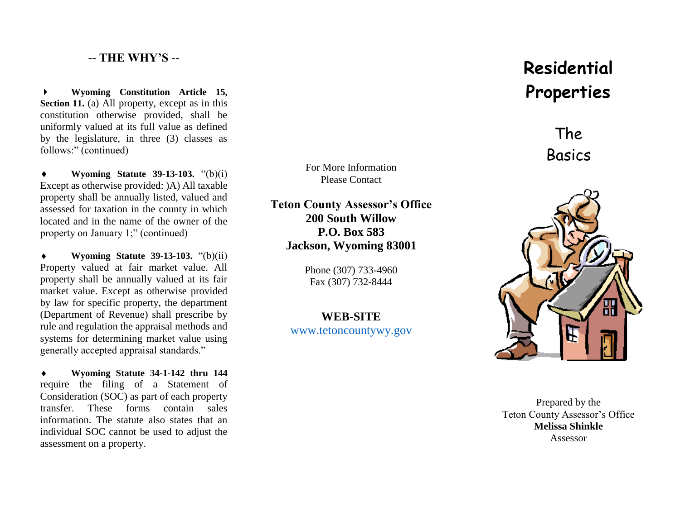## **-- THE WHY'S --**

 **Wyoming Constitution Article 15, Section 11.** (a) All property, except as in this constitution otherwise provided, shall be uniformly valued at its full value as defined by the legislature, in three (3) classes as follows:" (continued)

 **Wyoming Statute 39-13-103.** "(b)(i) Except as otherwise provided: )A) All taxable property shall be annually listed, valued and assessed for taxation in the county in which located and in the name of the owner of the property on January 1;" (continued)

 **Wyoming Statute 39-13-103.** "(b)(ii) Property valued at fair market value. All property shall be annually valued at its fair market value. Except as otherwise provided by law for specific property, the department (Department of Revenue) shall prescribe by rule and regulation the appraisal methods and systems for determining market value using generally accepted appraisal standards."

 **Wyoming Statute 34-1-142 thru 144** require the filing of a Statement of Consideration (SOC) as part of each property transfer. These forms contain sales information. The statute also states that an individual SOC cannot be used to adjust the assessment on a property.

For More Information Please Contact

**Teton County Assessor's Office 200 South Willow P.O. Box 583 Jackson, Wyoming 83001**

> Phone (307) 733-4960 Fax (307) 732-8444

**WEB-SITE** [www.tetoncountywy.gov](http://www.tetoncountywy.gov/)

# **Residential Properties**

The Basics



Prepared by the Teton County Assessor's Office **Melissa Shinkle** Assessor